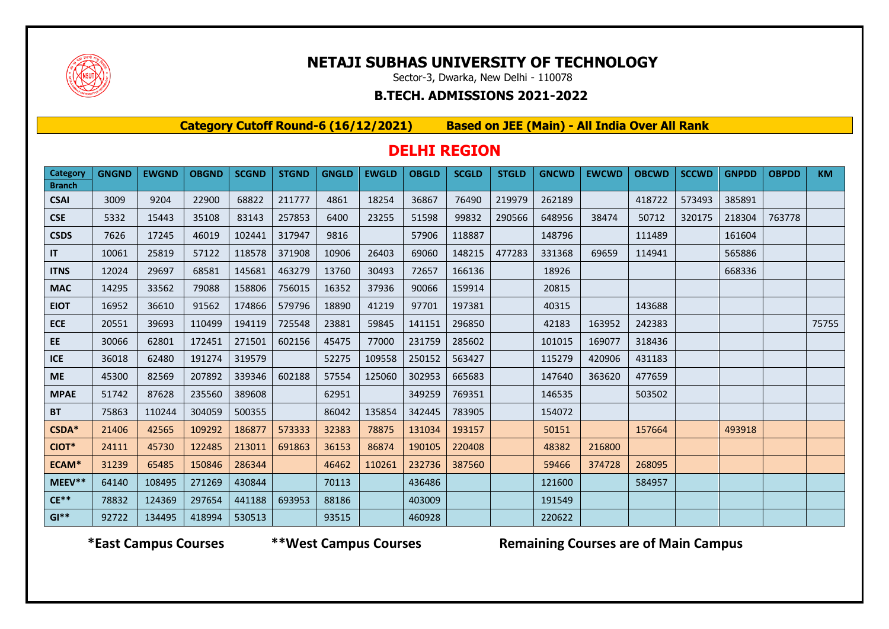

## **NETAJI SUBHAS UNIVERSITY OF TECHNOLOGY**

Sector-3, Dwarka, New Delhi - 110078

#### **B.TECH. ADMISSIONS 2021-2022**

**Category Cutoff Round-6 (16/12/2021) Based on JEE (Main) - All India Over All Rank**

### **DELHI REGION**

| Category                     | <b>GNGND</b> | <b>EWGND</b> | <b>OBGND</b> | <b>SCGND</b> | <b>STGND</b> | <b>GNGLD</b> | <b>EWGLD</b> | <b>OBGLD</b> | <b>SCGLD</b> | <b>STGLD</b> | <b>GNCWD</b> | <b>EWCWD</b> | <b>OBCWD</b> | <b>SCCWD</b> | <b>GNPDD</b> | <b>OBPDD</b> | <b>KM</b> |
|------------------------------|--------------|--------------|--------------|--------------|--------------|--------------|--------------|--------------|--------------|--------------|--------------|--------------|--------------|--------------|--------------|--------------|-----------|
| <b>Branch</b><br><b>CSAI</b> | 3009         | 9204         | 22900        | 68822        | 211777       | 4861         | 18254        | 36867        | 76490        | 219979       | 262189       |              | 418722       | 573493       | 385891       |              |           |
| <b>CSE</b>                   | 5332         | 15443        | 35108        | 83143        | 257853       | 6400         | 23255        | 51598        | 99832        | 290566       | 648956       | 38474        | 50712        | 320175       | 218304       | 763778       |           |
| <b>CSDS</b>                  | 7626         | 17245        | 46019        | 102441       | 317947       | 9816         |              | 57906        | 118887       |              | 148796       |              | 111489       |              | 161604       |              |           |
| IT.                          | 10061        | 25819        | 57122        | 118578       | 371908       | 10906        | 26403        | 69060        | 148215       | 477283       | 331368       | 69659        | 114941       |              | 565886       |              |           |
| <b>ITNS</b>                  | 12024        | 29697        | 68581        | 145681       | 463279       | 13760        | 30493        | 72657        | 166136       |              | 18926        |              |              |              | 668336       |              |           |
| <b>MAC</b>                   | 14295        | 33562        | 79088        | 158806       | 756015       | 16352        | 37936        | 90066        | 159914       |              | 20815        |              |              |              |              |              |           |
| <b>EIOT</b>                  | 16952        | 36610        | 91562        | 174866       | 579796       | 18890        | 41219        | 97701        | 197381       |              | 40315        |              | 143688       |              |              |              |           |
| <b>ECE</b>                   | 20551        | 39693        | 110499       | 194119       | 725548       | 23881        | 59845        | 141151       | 296850       |              | 42183        | 163952       | 242383       |              |              |              | 75755     |
| EE.                          | 30066        | 62801        | 172451       | 271501       | 602156       | 45475        | 77000        | 231759       | 285602       |              | 101015       | 169077       | 318436       |              |              |              |           |
| <b>ICE</b>                   | 36018        | 62480        | 191274       | 319579       |              | 52275        | 109558       | 250152       | 563427       |              | 115279       | 420906       | 431183       |              |              |              |           |
| <b>ME</b>                    | 45300        | 82569        | 207892       | 339346       | 602188       | 57554        | 125060       | 302953       | 665683       |              | 147640       | 363620       | 477659       |              |              |              |           |
| <b>MPAE</b>                  | 51742        | 87628        | 235560       | 389608       |              | 62951        |              | 349259       | 769351       |              | 146535       |              | 503502       |              |              |              |           |
| <b>BT</b>                    | 75863        | 110244       | 304059       | 500355       |              | 86042        | 135854       | 342445       | 783905       |              | 154072       |              |              |              |              |              |           |
| CSDA*                        | 21406        | 42565        | 109292       | 186877       | 573333       | 32383        | 78875        | 131034       | 193157       |              | 50151        |              | 157664       |              | 493918       |              |           |
| CIOT*                        | 24111        | 45730        | 122485       | 213011       | 691863       | 36153        | 86874        | 190105       | 220408       |              | 48382        | 216800       |              |              |              |              |           |
| ECAM*                        | 31239        | 65485        | 150846       | 286344       |              | 46462        | 110261       | 232736       | 387560       |              | 59466        | 374728       | 268095       |              |              |              |           |
| MEEV**                       | 64140        | 108495       | 271269       | 430844       |              | 70113        |              | 436486       |              |              | 121600       |              | 584957       |              |              |              |           |
| $CE**$                       | 78832        | 124369       | 297654       | 441188       | 693953       | 88186        |              | 403009       |              |              | 191549       |              |              |              |              |              |           |
| $GI**$                       | 92722        | 134495       | 418994       | 530513       |              | 93515        |              | 460928       |              |              | 220622       |              |              |              |              |              |           |

 **\*East Campus Courses \*\*West Campus Courses Remaining Courses are of Main Campus**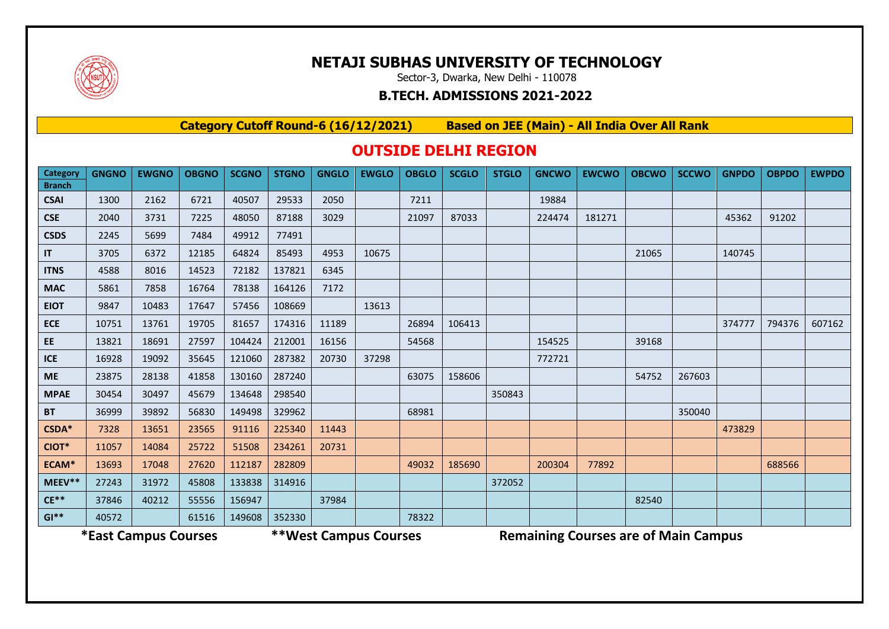

### **NETAJI SUBHAS UNIVERSITY OF TECHNOLOGY**

Sector-3, Dwarka, New Delhi - 110078

#### **B.TECH. ADMISSIONS 2021-2022**

**Category Cutoff Round-6 (16/12/2021) Based on JEE (Main) - All India Over All Rank**

### **OUTSIDE DELHI REGION**

| <b>Category</b><br><b>Branch</b> | <b>GNGNO</b> | <b>EWGNO</b> | <b>OBGNO</b> | <b>SCGNO</b> | <b>STGNO</b> | <b>GNGLO</b> | <b>EWGLO</b> | <b>OBGLO</b> | <b>SCGLO</b> | <b>STGLO</b> | <b>GNCWO</b> | <b>EWCWO</b> | <b>OBCWO</b> | <b>SCCWO</b> | <b>GNPDO</b> | <b>OBPDO</b> | <b>EWPDO</b> |
|----------------------------------|--------------|--------------|--------------|--------------|--------------|--------------|--------------|--------------|--------------|--------------|--------------|--------------|--------------|--------------|--------------|--------------|--------------|
| <b>CSAI</b>                      | 1300         | 2162         | 6721         | 40507        | 29533        | 2050         |              | 7211         |              |              | 19884        |              |              |              |              |              |              |
| <b>CSE</b>                       | 2040         | 3731         | 7225         | 48050        | 87188        | 3029         |              | 21097        | 87033        |              | 224474       | 181271       |              |              | 45362        | 91202        |              |
| <b>CSDS</b>                      | 2245         | 5699         | 7484         | 49912        | 77491        |              |              |              |              |              |              |              |              |              |              |              |              |
| $\mathsf{I}\mathsf{T}$           | 3705         | 6372         | 12185        | 64824        | 85493        | 4953         | 10675        |              |              |              |              |              | 21065        |              | 140745       |              |              |
| <b>ITNS</b>                      | 4588         | 8016         | 14523        | 72182        | 137821       | 6345         |              |              |              |              |              |              |              |              |              |              |              |
| <b>MAC</b>                       | 5861         | 7858         | 16764        | 78138        | 164126       | 7172         |              |              |              |              |              |              |              |              |              |              |              |
| <b>EIOT</b>                      | 9847         | 10483        | 17647        | 57456        | 108669       |              | 13613        |              |              |              |              |              |              |              |              |              |              |
| <b>ECE</b>                       | 10751        | 13761        | 19705        | 81657        | 174316       | 11189        |              | 26894        | 106413       |              |              |              |              |              | 374777       | 794376       | 607162       |
| EE                               | 13821        | 18691        | 27597        | 104424       | 212001       | 16156        |              | 54568        |              |              | 154525       |              | 39168        |              |              |              |              |
| ICE                              | 16928        | 19092        | 35645        | 121060       | 287382       | 20730        | 37298        |              |              |              | 772721       |              |              |              |              |              |              |
| <b>ME</b>                        | 23875        | 28138        | 41858        | 130160       | 287240       |              |              | 63075        | 158606       |              |              |              | 54752        | 267603       |              |              |              |
| <b>MPAE</b>                      | 30454        | 30497        | 45679        | 134648       | 298540       |              |              |              |              | 350843       |              |              |              |              |              |              |              |
| <b>BT</b>                        | 36999        | 39892        | 56830        | 149498       | 329962       |              |              | 68981        |              |              |              |              |              | 350040       |              |              |              |
| CSDA*                            | 7328         | 13651        | 23565        | 91116        | 225340       | 11443        |              |              |              |              |              |              |              |              | 473829       |              |              |
| CIOT*                            | 11057        | 14084        | 25722        | 51508        | 234261       | 20731        |              |              |              |              |              |              |              |              |              |              |              |
| ECAM*                            | 13693        | 17048        | 27620        | 112187       | 282809       |              |              | 49032        | 185690       |              | 200304       | 77892        |              |              |              | 688566       |              |
| MEEV**                           | 27243        | 31972        | 45808        | 133838       | 314916       |              |              |              |              | 372052       |              |              |              |              |              |              |              |
| $CE**$                           | 37846        | 40212        | 55556        | 156947       |              | 37984        |              |              |              |              |              |              | 82540        |              |              |              |              |
| $GI**$                           | 40572        |              | 61516        | 149608       | 352330       |              |              | 78322        |              |              |              |              |              |              |              |              |              |

**\*East Campus Courses \*\*West Campus Courses Remaining Courses are of Main Campus**